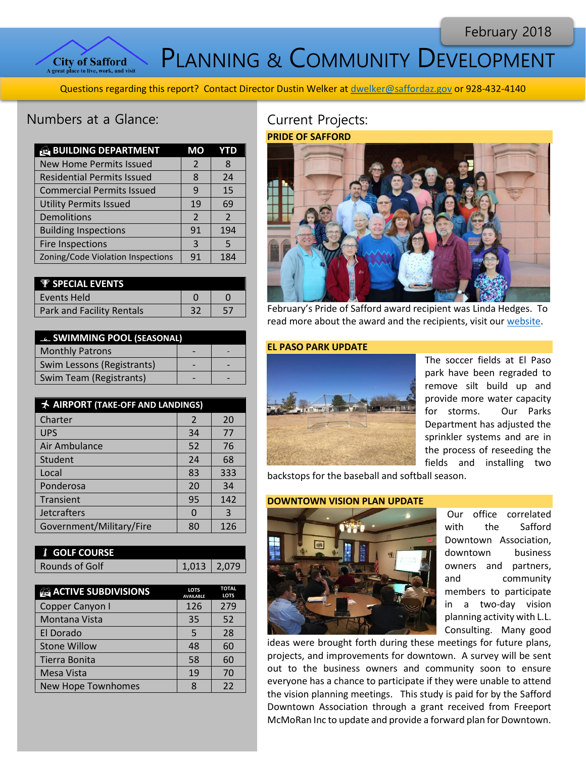February 2018



PLANNING & COMMUNITY DEVELOPMENT

Questions regarding this report? Contact Director Dustin Welker at [dwelker@saffordaz.gov](mailto:dwelker@saffordaz.gov) or 928-432-4140

# Numbers at a Glance:

| <b>BUILDING DEPARTMENT</b>        | MО             | YTD            |
|-----------------------------------|----------------|----------------|
| <b>New Home Permits Issued</b>    | $\mathcal{P}$  | 8              |
| <b>Residential Permits Issued</b> | 8              | 24             |
| <b>Commercial Permits Issued</b>  | q              | 15             |
| <b>Utility Permits Issued</b>     | 19             | 69             |
| Demolitions                       | $\overline{2}$ | $\overline{2}$ |
| <b>Building Inspections</b>       | 91             | 194            |
| <b>Fire Inspections</b>           | 3              | 5              |
| Zoning/Code Violation Inspections | 91             | 184            |

| <b><i>V SPECIAL EVENTS</i></b>   |  |
|----------------------------------|--|
| Events Held                      |  |
| <b>Park and Facility Rentals</b> |  |

| <b>ELL SWIMMING POOL (SEASONAL)</b> |  |  |
|-------------------------------------|--|--|
| <b>Monthly Patrons</b>              |  |  |
| Swim Lessons (Registrants)          |  |  |
| <b>Swim Team (Registrants)</b>      |  |  |

| <b>★ AIRPORT (TAKE-OFF AND LANDINGS)</b> |    |     |
|------------------------------------------|----|-----|
| Charter                                  | 2  | 20  |
| <b>UPS</b>                               | 34 | 77  |
| Air Ambulance                            | 52 | 76  |
| Student                                  | 24 | 68  |
| Local                                    | 83 | 333 |
| Ponderosa                                | 20 | 34  |
| Transient                                | 95 | 142 |
| <b>Jetcrafters</b>                       |    | 3   |
| Government/Military/Fire                 | 80 | 126 |

| <b><i>I</i></b> GOLF COURSE |                 |  |
|-----------------------------|-----------------|--|
| Rounds of Golf              | $1,013$   2,079 |  |
|                             |                 |  |

| <b>ACTIVE SUBDIVISIONS</b> | <b>LOTS</b><br><b>AVAILABLE</b> | <b>TOTAL</b><br><b>LOTS</b> |
|----------------------------|---------------------------------|-----------------------------|
| Copper Canyon I            | 126                             | 279                         |
| Montana Vista              | 35                              | 52                          |
| El Dorado                  | 5                               | 28                          |
| <b>Stone Willow</b>        | 48                              | 60                          |
| Tierra Bonita              | 58                              | 60                          |
| Mesa Vista                 | 19                              | 70                          |
| <b>New Hope Townhomes</b>  |                                 | 22                          |

## Current Projects: **PRIDE OF SAFFORD**



February's Pride of Safford award recipient was Linda Hedges. To read more about the award and the recipients, visit ou[r website.](http://www.cityofsafford.us/index.aspx?nid=288)

## **EL PASO PARK UPDATE**



The soccer fields at El Paso park have been regraded to remove silt build up and provide more water capacity for storms. Our Parks Department has adjusted the sprinkler systems and are in the process of reseeding the fields and installing two

backstops for the baseball and softball season.

#### **DOWNTOWN VISION PLAN UPDATE**



Our office correlated with the Safford Downtown Association, downtown business owners and partners, and community members to participate in a two-day vision planning activity with L.L. Consulting. Many good

ideas were brought forth during these meetings for future plans, projects, and improvements for downtown. A survey will be sent out to the business owners and community soon to ensure everyone has a chance to participate if they were unable to attend the vision planning meetings. This study is paid for by the Safford Downtown Association through a grant received from Freeport McMoRan Inc to update and provide a forward plan for Downtown.